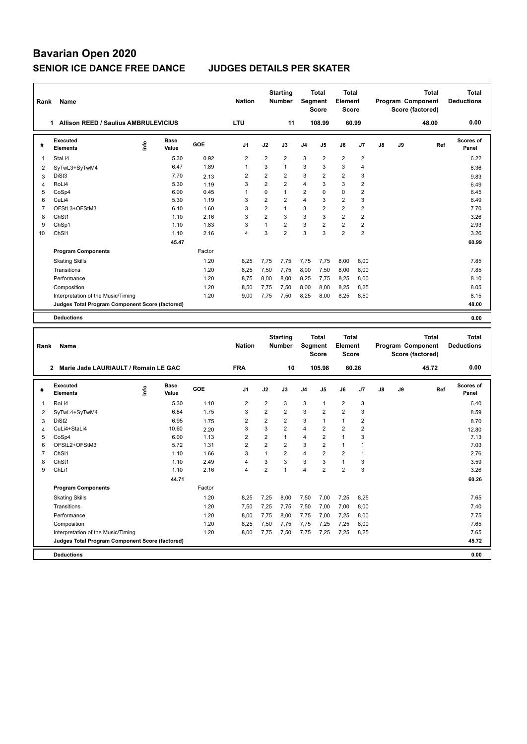| Rank           | Name                                            |      |               |            | <b>Nation</b>  |                | <b>Starting</b><br><b>Number</b> | Segment        | Total<br><b>Score</b>   | <b>Total</b><br><b>Element</b><br><b>Score</b> |                         |    |    | Program Component<br>Score (factored) | Total        | Total<br><b>Deductions</b> |
|----------------|-------------------------------------------------|------|---------------|------------|----------------|----------------|----------------------------------|----------------|-------------------------|------------------------------------------------|-------------------------|----|----|---------------------------------------|--------------|----------------------------|
|                | 1 Allison REED / Saulius AMBRULEVICIUS          |      |               |            | LTU            |                | 11                               |                | 108.99                  | 60.99                                          |                         |    |    | 48.00                                 |              | 0.00                       |
| #              | Executed<br><b>Elements</b>                     | ١nf٥ | Base<br>Value | <b>GOE</b> | J1             | J2             | J3                               | J4             | J5                      | J6                                             | J7                      | J8 | J9 |                                       | Ref          | <b>Scores of</b><br>Panel  |
| 1              | StaLi4                                          |      | 5.30          | 0.92       | $\overline{2}$ | $\overline{2}$ | $\overline{\mathbf{c}}$          | 3              | $\overline{\mathbf{c}}$ | $\overline{2}$                                 | $\overline{2}$          |    |    |                                       |              | 6.22                       |
| $\overline{2}$ | SyTwL3+SyTwM4                                   |      | 6.47          | 1.89       | $\mathbf{1}$   | 3              | $\mathbf{1}$                     | 3              | 3                       | 3                                              | $\overline{4}$          |    |    |                                       |              | 8.36                       |
| 3              | DiSt <sub>3</sub>                               |      | 7.70          | 2.13       | $\overline{2}$ | $\overline{2}$ | $\overline{2}$                   | 3              | $\overline{2}$          | $\overline{2}$                                 | 3                       |    |    |                                       |              | 9.83                       |
| 4              | RoLi4                                           |      | 5.30          | 1.19       | 3              | $\overline{2}$ | $\overline{2}$                   | 4              | 3                       | 3                                              | $\overline{2}$          |    |    |                                       |              | 6.49                       |
| 5              | CoSp4                                           |      | 6.00          | 0.45       | $\mathbf{1}$   | 0              | $\mathbf{1}$                     | 2              | 0                       | $\mathbf 0$                                    | $\overline{\mathbf{c}}$ |    |    |                                       |              | 6.45                       |
| 6              | CuLi4                                           |      | 5.30          | 1.19       | 3              | 2              | $\overline{2}$                   | 4              | 3                       | $\overline{2}$                                 | 3                       |    |    |                                       |              | 6.49                       |
| $\overline{7}$ | OFStL3+OFStM3                                   |      | 6.10          | 1.60       | 3              | $\overline{2}$ | $\mathbf{1}$                     | 3              | 2                       | $\overline{2}$                                 | $\overline{2}$          |    |    |                                       |              | 7.70                       |
| 8              | ChSt1                                           |      | 1.10          | 2.16       | 3              | $\overline{2}$ | 3                                | 3              | 3                       | $\overline{2}$                                 | $\overline{2}$          |    |    |                                       |              | 3.26                       |
| 9              | ChSp1                                           |      | 1.10          | 1.83       | 3              | $\mathbf{1}$   | $\overline{2}$                   | 3              | $\overline{\mathbf{c}}$ | $\overline{c}$                                 | $\mathbf 2$             |    |    |                                       |              | 2.93                       |
| 10             | ChS <sub>11</sub>                               |      | 1.10          | 2.16       | $\overline{4}$ | 3              | $\overline{2}$                   | 3              | 3                       | $\overline{2}$                                 | $\overline{2}$          |    |    |                                       |              | 3.26                       |
|                |                                                 |      | 45.47         |            |                |                |                                  |                |                         |                                                |                         |    |    |                                       |              | 60.99                      |
|                | <b>Program Components</b>                       |      |               | Factor     |                |                |                                  |                |                         |                                                |                         |    |    |                                       |              |                            |
|                | <b>Skating Skills</b>                           |      |               | 1.20       | 8,25           | 7,75           | 7,75                             | 7,75           | 7,75                    | 8,00                                           | 8,00                    |    |    |                                       |              | 7.85                       |
|                | Transitions                                     |      |               | 1.20       | 8,25           | 7,50           | 7,75                             | 8,00           | 7,50                    | 8,00                                           | 8,00                    |    |    |                                       |              | 7.85                       |
|                | Performance                                     |      |               | 1.20       | 8,75           | 8,00           | 8,00                             | 8,25           | 7,75                    | 8,25                                           | 8,00                    |    |    |                                       |              | 8.10                       |
|                | Composition                                     |      |               | 1.20       | 8,50           | 7,75           | 7,50                             | 8,00           | 8,00                    | 8,25                                           | 8,25                    |    |    |                                       |              | 8.05                       |
|                | Interpretation of the Music/Timing              |      |               | 1.20       | 9,00           | 7,75           | 7,50                             | 8,25           | 8,00                    | 8,25                                           | 8,50                    |    |    |                                       |              | 8.15                       |
|                | Judges Total Program Component Score (factored) |      |               |            |                |                |                                  |                |                         |                                                |                         |    |    |                                       |              | 48.00                      |
|                |                                                 |      |               |            |                |                |                                  |                |                         |                                                |                         |    |    |                                       |              |                            |
|                | <b>Deductions</b>                               |      |               |            |                |                |                                  |                |                         |                                                |                         |    |    |                                       |              | 0.00                       |
|                |                                                 |      |               |            |                |                |                                  |                |                         |                                                |                         |    |    |                                       |              |                            |
|                |                                                 |      |               |            |                |                |                                  |                |                         |                                                |                         |    |    |                                       |              |                            |
|                |                                                 |      |               |            |                |                | <b>Starting</b>                  |                | Total                   | <b>Total</b>                                   |                         |    |    |                                       | <b>Total</b> | <b>Total</b>               |
| Rank           | Name                                            |      |               |            | <b>Nation</b>  |                | Number                           | Segment        |                         | <b>Element</b>                                 |                         |    |    | Program Component                     |              | <b>Deductions</b>          |
|                |                                                 |      |               |            |                |                |                                  |                | <b>Score</b>            | Score                                          |                         |    |    | Score (factored)                      |              |                            |
|                | 2 Marie Jade LAURIAULT / Romain LE GAC          |      |               |            | <b>FRA</b>     |                | 10                               |                | 105.98                  | 60.26                                          |                         |    |    | 45.72                                 |              | 0.00                       |
|                | Executed                                        |      | Base          |            |                |                |                                  |                |                         |                                                |                         |    |    |                                       |              | <b>Scores of</b>           |
| #              | <b>Elements</b>                                 | ١nf٥ | Value         | GOE        | J1             | J2             | J3                               | J <sub>4</sub> | J5                      | J6                                             | J7                      | J8 | J9 |                                       | Ref          | Panel                      |
| 1              | RoLi4                                           |      | 5.30          | 1.10       | $\overline{2}$ | $\overline{2}$ | 3                                | 3              | 1                       | $\overline{2}$                                 | 3                       |    |    |                                       |              | 6.40                       |
| 2              | SyTwL4+SyTwM4                                   |      | 6.84          | 1.75       | 3              | $\overline{2}$ | $\overline{2}$                   | 3              | $\overline{2}$          | $\overline{2}$                                 | 3                       |    |    |                                       |              | 8.59                       |
| 3              | DiSt <sub>2</sub>                               |      | 6.95          | 1.75       | $\overline{2}$ | $\overline{2}$ | $\overline{2}$                   | 3              | 1                       | $\mathbf{1}$                                   | $\overline{2}$          |    |    |                                       |              | 8.70                       |
| 4              | CuLi4+StaLi4                                    |      | 10.60         | 2.20       | 3              | 3              | $\overline{2}$                   | 4              | 2                       | $\overline{2}$                                 | $\overline{2}$          |    |    |                                       |              | 12.80                      |
| 5              | CoSp4                                           |      | 6.00          | 1.13       | $\overline{2}$ | 2              | $\mathbf{1}$                     | 4              | $\overline{2}$          | $\mathbf{1}$                                   | 3                       |    |    |                                       |              | 7.13                       |
| 6              | OFStL2+OFStM3                                   |      | 5.72          | 1.31       | $\overline{2}$ | 2              | $\overline{2}$                   | 3              | $\overline{2}$          | $\mathbf{1}$                                   | $\overline{1}$          |    |    |                                       |              | 7.03                       |
| 7              | ChS <sub>11</sub>                               |      | 1.10          | 1.66       | 3              | 1              | $\overline{2}$                   | 4              | $\overline{\mathbf{c}}$ | $\overline{c}$                                 | $\overline{1}$          |    |    |                                       |              | 2.76                       |
| 8              | ChSt1                                           |      | 1.10          | 2.49       | $\overline{4}$ | 3              | 3                                | 3              | 3                       | $\mathbf{1}$                                   | 3                       |    |    |                                       |              | 3.59                       |
| 9              | ChL <sub>i1</sub>                               |      | 1.10          | 2.16       | $\overline{4}$ | 2              | $\mathbf{1}$                     | 4              | $\overline{2}$          | $\overline{2}$                                 | 3                       |    |    |                                       |              | 3.26                       |
|                |                                                 |      | 44.71         |            |                |                |                                  |                |                         |                                                |                         |    |    |                                       |              | 60.26                      |
|                | <b>Program Components</b>                       |      |               | Factor     |                |                |                                  |                |                         |                                                |                         |    |    |                                       |              |                            |
|                | <b>Skating Skills</b>                           |      |               | 1.20       | 8,25           | 7,25           | 8,00                             | 7,50           | 7,00                    | 7,25                                           | 8,25                    |    |    |                                       |              | 7.65                       |
|                | Transitions                                     |      |               | 1.20       | 7,50           | 7,25           | 7,75                             | 7,50           | 7,00                    | 7,00                                           | 8,00                    |    |    |                                       |              | 7.40                       |
|                | Performance                                     |      |               | 1.20       | 8,00           | 7,75           | 8,00                             | 7,75           | 7,00                    | 7,25                                           | 8,00                    |    |    |                                       |              | 7.75                       |
|                | Composition                                     |      |               | 1.20       | 8,25           | 7,50           | 7,75                             |                | 7,25                    | 7,25                                           | 8,00                    |    |    |                                       |              | 7.65                       |
|                | Interpretation of the Music/Timing              |      |               | 1.20       | 8,00           | 7,75           | 7,50                             | 7,75<br>7,75   | 7,25                    | 7,25                                           | 8,25                    |    |    |                                       |              | 7.65                       |
|                | Judges Total Program Component Score (factored) |      |               |            |                |                |                                  |                |                         |                                                |                         |    |    |                                       |              | 45.72                      |
|                | <b>Deductions</b>                               |      |               |            |                |                |                                  |                |                         |                                                |                         |    |    |                                       |              | 0.00                       |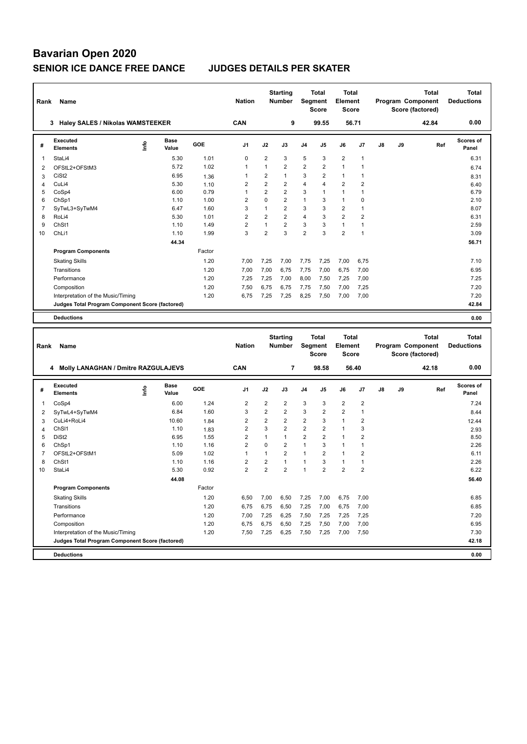| Rank                | Name                                            |                                  |                      |        | <b>Nation</b>           |                     | <b>Starting</b><br><b>Number</b>          |                | Total<br>Segment<br><b>Score</b> | Total<br><b>Element</b><br><b>Score</b>   |                              |    |    | Program Component<br>Score (factored) | Total        | <b>Total</b><br><b>Deductions</b> |
|---------------------|-------------------------------------------------|----------------------------------|----------------------|--------|-------------------------|---------------------|-------------------------------------------|----------------|----------------------------------|-------------------------------------------|------------------------------|----|----|---------------------------------------|--------------|-----------------------------------|
|                     | 3 Haley SALES / Nikolas WAMSTEEKER              |                                  |                      |        | CAN                     |                     | 9                                         |                | 99.55                            | 56.71                                     |                              |    |    | 42.84                                 |              | 0.00                              |
| #                   | <b>Executed</b><br><b>Elements</b>              | e                                | <b>Base</b><br>Value | GOE    | J1                      | J2                  | J3                                        | J4             | J5                               | J6                                        | J7                           | J8 | J9 |                                       | Ref          | <b>Scores of</b><br>Panel         |
| 1                   | StaLi4                                          |                                  | 5.30                 | 1.01   | 0                       | 2                   | 3                                         | 5              | 3                                | $\overline{2}$                            | 1                            |    |    |                                       |              | 6.31                              |
| 2                   | OFStL2+OFStM3                                   |                                  | 5.72                 | 1.02   | 1                       | $\mathbf{1}$        | $\overline{2}$                            | $\overline{2}$ | 2                                | $\mathbf{1}$                              | 1                            |    |    |                                       |              | 6.74                              |
| 3                   | CiSt <sub>2</sub>                               |                                  | 6.95                 | 1.36   | 1                       | $\overline{2}$      | $\mathbf{1}$                              | 3              | $\overline{2}$                   | $\mathbf{1}$                              | 1                            |    |    |                                       |              | 8.31                              |
| 4                   | CuLi4                                           |                                  | 5.30                 | 1.10   | 2                       | $\overline{2}$      | $\overline{2}$                            | $\overline{4}$ | 4                                | $\overline{2}$                            | $\overline{2}$               |    |    |                                       |              | 6.40                              |
| 5                   | CoSp4                                           |                                  | 6.00                 | 0.79   | $\mathbf{1}$            | $\overline{2}$      | $\overline{2}$                            | 3              | 1                                | $\mathbf{1}$                              | $\mathbf{1}$                 |    |    |                                       |              | 6.79                              |
| 6                   | ChSp1                                           |                                  | 1.10                 | 1.00   | $\overline{2}$          | 0                   | $\overline{2}$                            | $\mathbf{1}$   | 3                                | $\mathbf{1}$                              | $\mathbf 0$                  |    |    |                                       |              | 2.10                              |
| $\overline{7}$      | SyTwL3+SyTwM4                                   |                                  | 6.47                 | 1.60   | 3                       | $\mathbf{1}$        | $\overline{2}$                            | 3              | 3                                | $\overline{2}$                            | 1                            |    |    |                                       |              | 8.07                              |
| 8                   | RoLi4                                           |                                  | 5.30                 | 1.01   | 2                       | 2                   | $\overline{2}$                            | $\overline{4}$ | 3                                | $\overline{2}$                            | $\overline{2}$               |    |    |                                       |              | 6.31                              |
| 9                   | ChSt1                                           |                                  | 1.10                 | 1.49   | $\overline{2}$<br>3     | $\mathbf{1}$        | $\overline{2}$<br>3                       | 3              | 3<br>3                           | $\mathbf{1}$                              | $\mathbf{1}$<br>$\mathbf{1}$ |    |    |                                       |              | 2.59                              |
| 10                  | ChL <sub>i1</sub>                               |                                  | 1.10                 | 1.99   |                         | 2                   |                                           | $\overline{2}$ |                                  | $\overline{2}$                            |                              |    |    |                                       |              | 3.09                              |
|                     |                                                 |                                  | 44.34                |        |                         |                     |                                           |                |                                  |                                           |                              |    |    |                                       |              | 56.71                             |
|                     | <b>Program Components</b>                       |                                  |                      | Factor |                         |                     |                                           |                |                                  |                                           |                              |    |    |                                       |              |                                   |
|                     | <b>Skating Skills</b>                           |                                  |                      | 1.20   | 7,00                    | 7,25                | 7,00                                      | 7,75           | 7,25                             | 7,00                                      | 6,75                         |    |    |                                       |              | 7.10                              |
|                     | Transitions                                     |                                  |                      | 1.20   | 7,00                    | 7,00                | 6,75                                      | 7,75           | 7,00                             | 6,75                                      | 7,00                         |    |    |                                       |              | 6.95                              |
|                     | Performance                                     |                                  |                      | 1.20   | 7,25                    | 7,25                | 7,00                                      | 8,00           | 7,50                             | 7,25                                      | 7,00                         |    |    |                                       |              | 7.25                              |
|                     | Composition                                     |                                  |                      | 1.20   | 7,50                    | 6,75                | 6,75                                      | 7,75           | 7,50                             | 7,00                                      | 7,25                         |    |    |                                       |              | 7.20                              |
|                     | Interpretation of the Music/Timing              |                                  |                      | 1.20   | 6,75                    | 7,25                | 7,25                                      | 8,25           | 7,50                             | 7,00                                      | 7,00                         |    |    |                                       |              | 7.20                              |
|                     | Judges Total Program Component Score (factored) |                                  |                      |        |                         |                     |                                           |                |                                  |                                           |                              |    |    |                                       |              | 42.84                             |
|                     | <b>Deductions</b>                               |                                  |                      |        |                         |                     |                                           |                |                                  |                                           |                              |    |    |                                       |              | 0.00                              |
|                     |                                                 |                                  |                      |        |                         |                     |                                           |                |                                  |                                           |                              |    |    |                                       |              |                                   |
|                     |                                                 |                                  |                      |        |                         |                     |                                           |                |                                  |                                           |                              |    |    |                                       |              |                                   |
|                     |                                                 |                                  |                      |        |                         |                     | <b>Starting</b>                           |                | Total                            | Total                                     |                              |    |    |                                       | <b>Total</b> | <b>Total</b>                      |
| Rank                | Name                                            |                                  |                      |        | <b>Nation</b>           |                     | <b>Number</b>                             | Segment        |                                  | <b>Element</b>                            |                              |    |    | Program Component                     |              | <b>Deductions</b>                 |
|                     |                                                 |                                  |                      |        |                         |                     |                                           |                | <b>Score</b>                     | <b>Score</b>                              |                              |    |    | Score (factored)                      |              |                                   |
|                     | 4 Molly LANAGHAN / Dmitre RAZGULAJEVS           |                                  |                      |        | CAN                     |                     | 7                                         |                | 98.58                            |                                           | 56.40                        |    |    | 42.18                                 |              | 0.00                              |
| #                   | <b>Executed</b><br><b>Elements</b>              | $\mathop{\mathsf{Irr}}\nolimits$ | Base<br>Value        | GOE    | J <sub>1</sub>          | J2                  | J3                                        | J4             | J5                               | J6                                        | J7                           | J8 | J9 |                                       | Ref          | Scores of<br>Panel                |
| 1                   |                                                 |                                  | 6.00                 | 1.24   |                         |                     |                                           |                | 3                                |                                           |                              |    |    |                                       |              | 7.24                              |
|                     | CoSp4                                           |                                  | 6.84                 | 1.60   | 2<br>3                  | 2<br>$\overline{2}$ | $\overline{\mathbf{c}}$<br>$\overline{2}$ | 3<br>3         | 2                                | $\overline{\mathbf{c}}$<br>$\overline{2}$ | $\overline{\mathbf{c}}$<br>1 |    |    |                                       |              |                                   |
| 2                   | SyTwL4+SyTwM4<br>CuLi4+RoLi4                    |                                  | 10.60                | 1.84   | 2                       | $\overline{2}$      | $\overline{2}$                            | $\overline{2}$ | 3                                | $\mathbf{1}$                              | $\overline{\mathbf{c}}$      |    |    |                                       |              | 8.44                              |
| 3<br>$\overline{4}$ | ChS <sub>11</sub>                               |                                  | 1.10                 | 1.83   | 2                       | 3                   | $\overline{2}$                            | $\overline{2}$ | 2                                | $\mathbf{1}$                              | 3                            |    |    |                                       |              | 12.44<br>2.93                     |
| 5                   | DiSt <sub>2</sub>                               |                                  | 6.95                 | 1.55   | 2                       | $\mathbf{1}$        | $\mathbf{1}$                              | $\overline{2}$ | $\overline{2}$                   | $\mathbf{1}$                              | $\overline{2}$               |    |    |                                       |              | 8.50                              |
| 6                   | ChSp1                                           |                                  | 1.10                 | 1.16   | 2                       | 0                   | $\overline{2}$                            | $\mathbf{1}$   | 3                                | $\mathbf{1}$                              | $\mathbf{1}$                 |    |    |                                       |              | 2.26                              |
| $\overline{7}$      | OFStL2+OFStM1                                   |                                  | 5.09                 | 1.02   | 1                       | 1                   | $\overline{2}$                            | 1              | 2                                | $\mathbf{1}$                              | $\overline{2}$               |    |    |                                       |              | 6.11                              |
| 8                   | ChSt1                                           |                                  | 1.10                 | 1.16   | $\overline{\mathbf{c}}$ | 2                   | $\mathbf{1}$                              | $\mathbf{1}$   | 3                                | 1                                         | $\mathbf{1}$                 |    |    |                                       |              | 2.26                              |
| 10                  | StaLi4                                          |                                  | 5.30                 | 0.92   | $\overline{2}$          | $\overline{2}$      | $\overline{2}$                            | $\mathbf{1}$   | $\overline{2}$                   | $\overline{2}$                            | $\overline{2}$               |    |    |                                       |              | 6.22                              |
|                     |                                                 |                                  | 44.08                |        |                         |                     |                                           |                |                                  |                                           |                              |    |    |                                       |              | 56.40                             |
|                     | <b>Program Components</b>                       |                                  |                      | Factor |                         |                     |                                           |                |                                  |                                           |                              |    |    |                                       |              |                                   |
|                     | <b>Skating Skills</b>                           |                                  |                      | 1.20   | 6,50                    | 7,00                | 6,50                                      | 7,25           | 7,00                             | 6,75                                      | 7,00                         |    |    |                                       |              | 6.85                              |
|                     | Transitions                                     |                                  |                      | 1.20   | 6,75                    | 6,75                | 6,50                                      | 7,25           | 7,00                             | 6,75                                      | 7,00                         |    |    |                                       |              | 6.85                              |
|                     | Performance                                     |                                  |                      | 1.20   | 7,00                    | 7,25                | 6,25                                      | 7,50           | 7,25                             | 7,25                                      | 7,25                         |    |    |                                       |              | 7.20                              |
|                     | Composition                                     |                                  |                      | 1.20   | 6,75                    | 6,75                | 6,50                                      | 7,25           | 7,50                             | 7,00                                      | 7,00                         |    |    |                                       |              | 6.95                              |
|                     | Interpretation of the Music/Timing              |                                  |                      | 1.20   | 7,50                    | 7,25                | 6,25                                      | 7,50           | 7,25                             | 7,00                                      | 7,50                         |    |    |                                       |              | 7.30                              |
|                     | Judges Total Program Component Score (factored) |                                  |                      |        |                         |                     |                                           |                |                                  |                                           |                              |    |    |                                       |              | 42.18                             |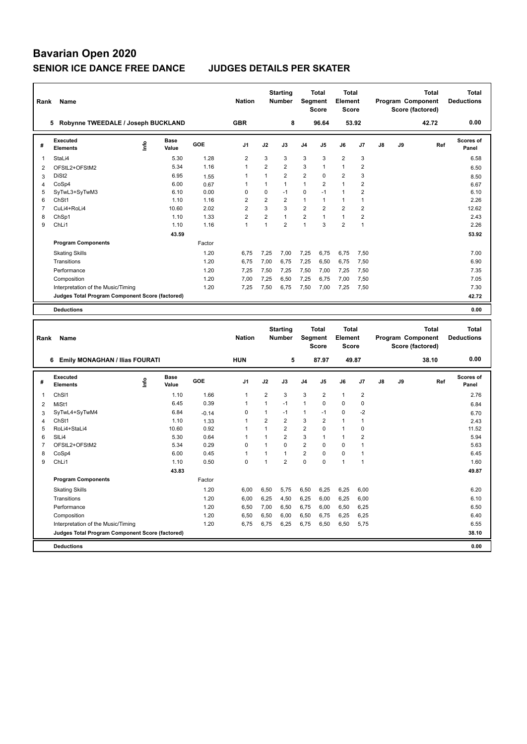| Rank           | Name                                            |      |                      |         | <b>Nation</b>  |                | <b>Starting</b><br><b>Number</b> | Segment        | <b>Total</b><br><b>Score</b> | <b>Total</b><br>Element<br><b>Score</b> |                         |    |    | <b>Total</b><br>Program Component<br>Score (factored) |     | Total<br><b>Deductions</b> |
|----------------|-------------------------------------------------|------|----------------------|---------|----------------|----------------|----------------------------------|----------------|------------------------------|-----------------------------------------|-------------------------|----|----|-------------------------------------------------------|-----|----------------------------|
|                | 5 Robynne TWEEDALE / Joseph BUCKLAND            |      |                      |         | <b>GBR</b>     |                | 8                                |                | 96.64                        |                                         | 53.92                   |    |    | 42.72                                                 |     | 0.00                       |
| #              | Executed<br><b>Elements</b>                     | lnfo | Base<br>Value        | GOE     | J <sub>1</sub> | J2             | J3                               | J4             | J5                           | J6                                      | J7                      | J8 | J9 |                                                       | Ref | <b>Scores of</b><br>Panel  |
| 1              | StaLi4                                          |      | 5.30                 | 1.28    | $\overline{2}$ | 3              | 3                                | 3              | 3                            | $\overline{2}$                          | 3                       |    |    |                                                       |     | 6.58                       |
| 2              | OFStL2+OFStM2                                   |      | 5.34                 | 1.16    | $\mathbf{1}$   | $\overline{2}$ | $\overline{2}$                   | 3              | $\mathbf{1}$                 | $\mathbf{1}$                            | $\boldsymbol{2}$        |    |    |                                                       |     | 6.50                       |
| 3              | DiSt <sub>2</sub>                               |      | 6.95                 | 1.55    | $\mathbf{1}$   | $\mathbf{1}$   | $\overline{2}$                   | $\overline{2}$ | $\Omega$                     | $\overline{2}$                          | 3                       |    |    |                                                       |     | 8.50                       |
| 4              | CoSp4                                           |      | 6.00                 | 0.67    | $\overline{1}$ | 1              | $\mathbf{1}$                     | $\mathbf{1}$   | $\overline{2}$               | $\overline{1}$                          | $\overline{2}$          |    |    |                                                       |     | 6.67                       |
| 5              | SyTwL3+SyTwM3                                   |      | 6.10                 | 0.00    | $\mathbf 0$    | $\mathbf 0$    | $-1$                             | 0              | $-1$                         | $\mathbf{1}$                            | $\overline{2}$          |    |    |                                                       |     | 6.10                       |
| 6              | ChSt1                                           |      | 1.10                 | 1.16    | $\overline{2}$ | $\overline{2}$ | $\overline{2}$                   | $\mathbf{1}$   | 1                            | $\mathbf{1}$                            | $\mathbf{1}$            |    |    |                                                       |     | 2.26                       |
| $\overline{7}$ | CuLi4+RoLi4                                     |      | 10.60                | 2.02    | $\overline{2}$ | 3              | 3                                | $\overline{2}$ | $\overline{2}$               | $\overline{2}$                          | $\overline{2}$          |    |    |                                                       |     | 12.62                      |
| 8              | ChSp1                                           |      | 1.10                 | 1.33    | $\overline{2}$ | $\overline{2}$ | $\mathbf{1}$                     | $\overline{2}$ | $\mathbf{1}$                 | $\mathbf{1}$                            | $\overline{2}$          |    |    |                                                       |     | 2.43                       |
| 9              | ChLi1                                           |      | 1.10                 | 1.16    | $\mathbf{1}$   | $\mathbf{1}$   | $\overline{2}$                   | $\mathbf{1}$   | 3                            | $\overline{2}$                          | $\mathbf{1}$            |    |    |                                                       |     | 2.26                       |
|                |                                                 |      | 43.59                |         |                |                |                                  |                |                              |                                         |                         |    |    |                                                       |     | 53.92                      |
|                | <b>Program Components</b>                       |      |                      | Factor  |                |                |                                  |                |                              |                                         |                         |    |    |                                                       |     |                            |
|                | <b>Skating Skills</b>                           |      |                      | 1.20    | 6,75           | 7,25           | 7,00                             | 7,25           | 6,75                         | 6,75                                    | 7,50                    |    |    |                                                       |     | 7.00                       |
|                | Transitions                                     |      |                      | 1.20    | 6,75           | 7,00           | 6,75                             | 7,25           | 6,50                         | 6,75                                    | 7,50                    |    |    |                                                       |     | 6.90                       |
|                | Performance                                     |      |                      | 1.20    | 7,25           | 7,50           | 7,25                             | 7,50           | 7,00                         | 7,25                                    | 7,50                    |    |    |                                                       |     | 7.35                       |
|                | Composition                                     |      |                      | 1.20    | 7,00           | 7,25           | 6,50                             | 7,25           | 6,75                         | 7,00                                    | 7,50                    |    |    |                                                       |     | 7.05                       |
|                | Interpretation of the Music/Timing              |      |                      | 1.20    | 7,25           | 7,50           | 6,75                             | 7,50           | 7,00                         | 7,25                                    | 7,50                    |    |    |                                                       |     | 7.30                       |
|                | Judges Total Program Component Score (factored) |      |                      |         |                |                |                                  |                |                              |                                         |                         |    |    |                                                       |     | 42.72                      |
|                | <b>Deductions</b>                               |      |                      |         |                |                |                                  |                |                              |                                         |                         |    |    |                                                       |     | 0.00                       |
|                |                                                 |      |                      |         |                |                |                                  |                |                              |                                         |                         |    |    |                                                       |     |                            |
|                |                                                 |      |                      |         |                |                |                                  |                |                              |                                         |                         |    |    |                                                       |     |                            |
|                |                                                 |      |                      |         |                |                | <b>Starting</b>                  |                | <b>Total</b>                 | <b>Total</b>                            |                         |    |    | <b>Total</b>                                          |     | <b>Total</b>               |
| Rank           | Name                                            |      |                      |         | <b>Nation</b>  |                | Number                           | Segment        |                              | Element                                 |                         |    |    | Program Component                                     |     | <b>Deductions</b>          |
|                |                                                 |      |                      |         |                |                |                                  |                | <b>Score</b>                 | <b>Score</b>                            |                         |    |    | Score (factored)                                      |     |                            |
|                | 6 Emily MONAGHAN / Ilias FOURATI                |      |                      |         | <b>HUN</b>     |                | 5                                |                | 87.97                        |                                         | 49.87                   |    |    | 38.10                                                 |     | 0.00                       |
|                |                                                 |      |                      |         |                |                |                                  |                |                              |                                         |                         |    |    |                                                       |     |                            |
| #              | Executed<br><b>Elements</b>                     | ١nf٥ | <b>Base</b><br>Value | GOE     | J <sub>1</sub> | J2             | J3                               | J <sub>4</sub> | J5                           | J6                                      | J7                      | J8 | J9 |                                                       | Ref | <b>Scores of</b><br>Panel  |
| $\mathbf{1}$   | ChSI1                                           |      | 1.10                 | 1.66    | $\mathbf{1}$   | $\overline{2}$ | 3                                | 3              | $\overline{2}$               | $\mathbf{1}$                            | $\overline{\mathbf{c}}$ |    |    |                                                       |     | 2.76                       |
| $\overline{2}$ | MiSt1                                           |      | 6.45                 | 0.39    | $\overline{1}$ | $\mathbf{1}$   | $-1$                             | $\mathbf{1}$   | $\mathbf 0$                  | $\mathbf 0$                             | $\mathbf 0$             |    |    |                                                       |     | 6.84                       |
| 3              | SyTwL4+SyTwM4                                   |      | 6.84                 | $-0.14$ | $\mathbf 0$    | $\mathbf{1}$   | $-1$                             | $\mathbf{1}$   | $-1$                         | $\mathbf 0$                             | $-2$                    |    |    |                                                       |     | 6.70                       |
| 4              | ChSt1                                           |      | 1.10                 | 1.33    | $\overline{1}$ | $\overline{2}$ | $\overline{2}$                   | 3              | $\overline{2}$               | $\mathbf{1}$                            | $\overline{1}$          |    |    |                                                       |     | 2.43                       |
| 5              | RoLi4+StaLi4                                    |      | 10.60                | 0.92    | $\overline{1}$ | $\mathbf{1}$   | $\overline{2}$                   | $\overline{2}$ | $\mathbf 0$                  | $\mathbf{1}$                            | $\mathbf 0$             |    |    |                                                       |     | 11.52                      |
| 6              | SILi4                                           |      | 5.30                 | 0.64    | $\mathbf{1}$   | $\mathbf{1}$   | $\overline{2}$                   | 3              | 1                            | $\mathbf{1}$                            | $\overline{2}$          |    |    |                                                       |     | 5.94                       |
| $\overline{7}$ | OFStL2+OFStM2                                   |      | 5.34                 | 0.29    | $\mathbf 0$    | 1              | $\mathbf 0$                      | $\overline{2}$ | 0                            | $\mathbf 0$                             | $\mathbf{1}$            |    |    |                                                       |     | 5.63                       |
| 8              | CoSp4                                           |      | 6.00                 | 0.45    | $\mathbf{1}$   | $\mathbf{1}$   | $\mathbf{1}$                     | $\overline{2}$ | $\mathbf 0$                  | $\mathbf 0$                             | $\overline{1}$          |    |    |                                                       |     | 6.45                       |
| 9              | ChLi1                                           |      | 1.10                 | 0.50    | $\mathbf 0$    | $\mathbf{1}$   | $\overline{2}$                   | 0              | $\mathbf 0$                  | 1                                       | $\overline{1}$          |    |    |                                                       |     | 1.60                       |
|                |                                                 |      | 43.83                |         |                |                |                                  |                |                              |                                         |                         |    |    |                                                       |     | 49.87                      |
|                | <b>Program Components</b>                       |      |                      | Factor  |                |                |                                  |                |                              |                                         |                         |    |    |                                                       |     |                            |
|                | <b>Skating Skills</b>                           |      |                      | 1.20    | 6,00           | 6,50           | 5,75                             | 6,50           | 6,25                         | 6,25                                    | 6,00                    |    |    |                                                       |     | 6.20                       |
|                | Transitions                                     |      |                      | 1.20    | 6,00           | 6,25           | 4,50                             | 6,25           | 6,00                         | 6,25                                    | 6,00                    |    |    |                                                       |     | 6.10                       |
|                | Performance                                     |      |                      | 1.20    | 6,50           | 7,00           | 6,50                             | 6,75           | 6,00                         | 6,50                                    | 6,25                    |    |    |                                                       |     | 6.50                       |
|                | Composition                                     |      |                      | 1.20    | 6,50           | 6,50           | 6,00                             | 6,50           | 6,75                         | 6,25                                    | 6,25                    |    |    |                                                       |     | 6.40                       |

**Deductions 0.00 Judges Total Program Component Score (factored) 38.10**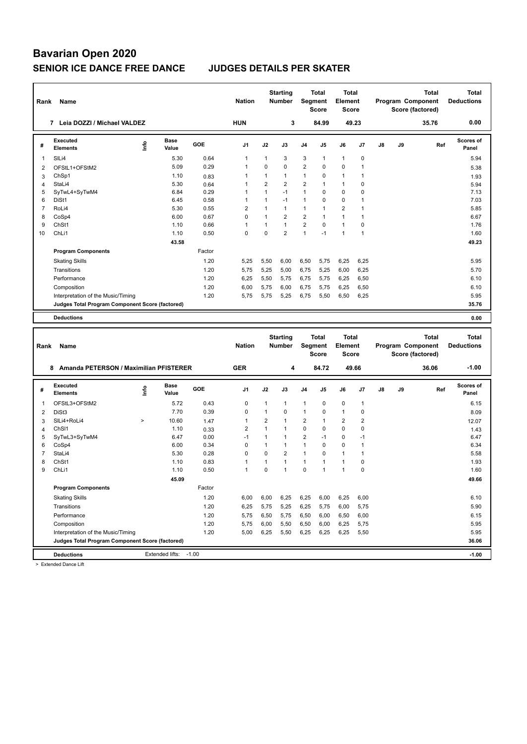| Rank           | Name                                            |      |                      |              | <b>Nation</b> |                                | <b>Starting</b><br><b>Number</b> |                     | <b>Total</b><br>Segment<br><b>Score</b> | Total<br><b>Element</b><br><b>Score</b> |                         |    |    | Program Component<br>Score (factored) | Total        | <b>Total</b><br><b>Deductions</b> |
|----------------|-------------------------------------------------|------|----------------------|--------------|---------------|--------------------------------|----------------------------------|---------------------|-----------------------------------------|-----------------------------------------|-------------------------|----|----|---------------------------------------|--------------|-----------------------------------|
|                | 7 Leia DOZZI / Michael VALDEZ                   |      |                      |              | <b>HUN</b>    |                                | 3                                |                     | 84.99                                   |                                         | 49.23                   |    |    | 35.76                                 |              | 0.00                              |
| #              | <b>Executed</b><br><b>Elements</b>              | e    | <b>Base</b><br>Value | GOE          | J1            | J2                             | J3                               | J4                  | J5                                      | J6                                      | J7                      | J8 | J9 |                                       | Ref          | Scores of<br>Panel                |
| 1              | SILi4                                           |      | 5.30                 | 0.64         | 1             | 1                              | 3                                | 3                   | 1                                       | $\mathbf{1}$                            | 0                       |    |    |                                       |              | 5.94                              |
| 2              | OFStL1+OFStM2                                   |      | 5.09                 | 0.29         | 1             | 0                              | $\mathbf 0$                      | $\overline{2}$      | 0                                       | $\mathbf 0$                             | 1                       |    |    |                                       |              | 5.38                              |
| 3              | ChSp1                                           |      | 1.10                 | 0.83         | 1             | 1                              | $\mathbf{1}$                     | 1                   | 0                                       | 1                                       | 1                       |    |    |                                       |              | 1.93                              |
| 4              | StaLi4                                          |      | 5.30                 | 0.64         | 1             | $\overline{2}$                 | $\overline{2}$                   | $\overline{2}$      | 1                                       | $\mathbf{1}$                            | 0                       |    |    |                                       |              | 5.94                              |
| 5              | SyTwL4+SyTwM4                                   |      | 6.84                 | 0.29         | 1             | $\mathbf{1}$                   | $-1$                             | $\mathbf{1}$        | 0                                       | $\mathbf 0$                             | 0                       |    |    |                                       |              | 7.13                              |
| 6              | DiSt1                                           |      | 6.45                 | 0.58         | 1             | $\mathbf{1}$                   | $-1$                             | $\mathbf{1}$        | 0                                       | $\mathbf 0$                             | $\overline{1}$          |    |    |                                       |              | 7.03                              |
| $\overline{7}$ | RoLi4                                           |      | 5.30                 | 0.55         | 2             | $\mathbf{1}$                   | $\mathbf{1}$                     | $\mathbf{1}$        | 1                                       | $\overline{2}$                          | $\mathbf{1}$            |    |    |                                       |              | 5.85                              |
| 8              | CoSp4                                           |      | 6.00                 | 0.67         | 0             | $\mathbf{1}$                   | $\overline{2}$                   | $\overline{2}$      | $\mathbf{1}$                            | $\mathbf{1}$                            | $\mathbf{1}$            |    |    |                                       |              | 6.67                              |
| 9              | ChSt1                                           |      | 1.10                 | 0.66         | 1             | $\mathbf{1}$                   | $\mathbf{1}$                     | $\overline{2}$      | 0                                       | $\mathbf{1}$                            | 0                       |    |    |                                       |              | 1.76                              |
| 10             | ChL <sub>i1</sub>                               |      | 1.10                 | 0.50         | $\mathbf 0$   | 0                              | $\overline{2}$                   | 1                   | $-1$                                    | $\mathbf{1}$                            | 1                       |    |    |                                       |              | 1.60                              |
|                |                                                 |      | 43.58                |              |               |                                |                                  |                     |                                         |                                         |                         |    |    |                                       |              | 49.23                             |
|                | <b>Program Components</b>                       |      |                      | Factor       |               |                                |                                  |                     |                                         |                                         |                         |    |    |                                       |              |                                   |
|                | <b>Skating Skills</b>                           |      |                      | 1.20         | 5,25          | 5,50                           | 6,00                             | 6,50                | 5,75                                    | 6,25                                    | 6,25                    |    |    |                                       |              | 5.95                              |
|                | Transitions                                     |      |                      | 1.20         | 5,75          | 5,25                           | 5,00                             | 6,75                | 5,25                                    | 6,00                                    | 6,25                    |    |    |                                       |              | 5.70                              |
|                | Performance                                     |      |                      | 1.20         | 6,25          | 5,50                           | 5,75                             | 6,75                | 5,75                                    | 6,25                                    | 6,50                    |    |    |                                       |              | 6.10                              |
|                | Composition                                     |      |                      | 1.20         | 6,00          | 5,75                           | 6,00                             | 6,75                | 5,75                                    | 6,25                                    | 6,50                    |    |    |                                       |              | 6.10                              |
|                | Interpretation of the Music/Timing              |      |                      | 1.20         | 5,75          | 5,75                           | 5,25                             | 6,75                | 5,50                                    | 6,50                                    | 6,25                    |    |    |                                       |              | 5.95                              |
|                | Judges Total Program Component Score (factored) |      |                      |              |               |                                |                                  |                     |                                         |                                         |                         |    |    |                                       |              | 35.76                             |
|                |                                                 |      |                      |              |               |                                |                                  |                     |                                         |                                         |                         |    |    |                                       |              |                                   |
|                | <b>Deductions</b>                               |      |                      |              |               |                                |                                  |                     |                                         |                                         |                         |    |    |                                       |              | 0.00                              |
|                |                                                 |      |                      |              |               |                                |                                  |                     |                                         |                                         |                         |    |    |                                       |              |                                   |
|                |                                                 |      |                      |              |               |                                |                                  |                     |                                         |                                         |                         |    |    |                                       |              |                                   |
|                |                                                 |      |                      |              |               |                                | <b>Starting</b>                  |                     | <b>Total</b>                            | Total                                   |                         |    |    |                                       | <b>Total</b> | <b>Total</b>                      |
| Rank           | Name                                            |      |                      |              | <b>Nation</b> |                                | <b>Number</b>                    |                     | Segment                                 | <b>Element</b>                          |                         |    |    | Program Component                     |              | <b>Deductions</b>                 |
|                |                                                 |      |                      |              |               |                                |                                  |                     | <b>Score</b>                            | <b>Score</b>                            |                         |    |    | Score (factored)                      |              |                                   |
|                |                                                 |      |                      |              |               |                                |                                  |                     |                                         |                                         |                         |    |    |                                       |              |                                   |
|                | 8 Amanda PETERSON / Maximilian PFISTERER        |      |                      |              | <b>GER</b>    |                                | 4                                |                     | 84.72                                   | 49.66                                   |                         |    |    | 36.06                                 |              | $-1.00$                           |
| #              | <b>Executed</b><br><b>Elements</b>              | ١nfo | Base<br>Value        | GOE          | J1            | J2                             | J3                               | J4                  | J5                                      | J6                                      | J7                      | J8 | J9 |                                       | Ref          | Scores of<br>Panel                |
|                |                                                 |      |                      |              |               |                                |                                  |                     |                                         |                                         | $\mathbf{1}$            |    |    |                                       |              |                                   |
| 1              | OFStL3+OFStM2                                   |      | 5.72                 | 0.43         | 0<br>0        | 1<br>$\mathbf{1}$              | $\mathbf{1}$<br>$\mathbf 0$      | 1<br>1              | 0<br>0                                  | $\mathbf 0$<br>$\mathbf{1}$             | 0                       |    |    |                                       |              | 6.15                              |
| 2              | DiSt3                                           | $\,$ | 7.70                 | 0.39         | 1             |                                | $\mathbf{1}$                     |                     | 1                                       |                                         |                         |    |    |                                       |              | 8.09                              |
| 3              | SILi4+RoLi4                                     |      | 10.60                | 1.47         |               | $\overline{2}$<br>$\mathbf{1}$ | $\mathbf{1}$                     | $\overline{2}$      |                                         | $\overline{2}$                          | $\overline{\mathbf{c}}$ |    |    |                                       |              | 12.07                             |
| 4<br>5         | ChS <sub>11</sub>                               |      | 1.10<br>6.47         | 0.33<br>0.00 | 2<br>$-1$     | $\mathbf{1}$                   | $\mathbf{1}$                     | 0<br>$\overline{2}$ | 0<br>$-1$                               | $\mathbf 0$<br>0                        | 0<br>$-1$               |    |    |                                       |              | 1.43<br>6.47                      |
| 6              | SyTwL3+SyTwM4<br>CoSp4                          |      | 6.00                 | 0.34         | 0             | $\mathbf{1}$                   | $\mathbf{1}$                     | $\mathbf{1}$        | $\mathbf 0$                             | 0                                       | $\mathbf{1}$            |    |    |                                       |              | 6.34                              |
| $\overline{7}$ | StaLi4                                          |      | 5.30                 | 0.28         | 0             | 0                              | $\overline{2}$                   | 1                   | 0                                       | $\mathbf{1}$                            | $\mathbf{1}$            |    |    |                                       |              | 5.58                              |
| 8              | ChSt1                                           |      | 1.10                 | 0.83         | 1             | 1                              | $\mathbf{1}$                     | $\mathbf{1}$        | 1                                       | $\mathbf{1}$                            | 0                       |    |    |                                       |              | 1.93                              |
| 9              | ChL <sub>i1</sub>                               |      | 1.10                 | 0.50         | 1             | 0                              | $\mathbf{1}$                     | $\mathbf 0$         | 1                                       | $\mathbf{1}$                            | $\mathbf 0$             |    |    |                                       |              | 1.60                              |
|                |                                                 |      |                      |              |               |                                |                                  |                     |                                         |                                         |                         |    |    |                                       |              |                                   |
|                | <b>Program Components</b>                       |      | 45.09                | Factor       |               |                                |                                  |                     |                                         |                                         |                         |    |    |                                       |              | 49.66                             |
|                |                                                 |      |                      |              |               |                                |                                  |                     |                                         |                                         |                         |    |    |                                       |              |                                   |
|                | <b>Skating Skills</b>                           |      |                      | 1.20         | 6,00          | 6,00                           | 6,25                             | 6,25                | 6,00                                    | 6,25                                    | 6,00                    |    |    |                                       |              | 6.10                              |
|                | Transitions                                     |      |                      | 1.20         | 6,25          | 5,75                           | 5,25                             | 6,25                | 5,75                                    | 6,00                                    | 5,75                    |    |    |                                       |              | 5.90                              |
|                | Performance                                     |      |                      | 1.20         | 5,75          | 6,50                           | 5,75                             | 6,50                | 6,00                                    | 6,50                                    | 6,00                    |    |    |                                       |              | 6.15                              |
|                | Composition                                     |      |                      | 1.20         | 5,75          | 6,00                           | 5,50                             | 6,50                | 6,00                                    | 6,25                                    | 5,75                    |    |    |                                       |              | 5.95                              |
|                | Interpretation of the Music/Timing              |      |                      | 1.20         | 5,00          | 6,25                           | 5,50                             | 6,25                | 6,25                                    | 6,25                                    | 5,50                    |    |    |                                       |              | 5.95                              |
|                | Judges Total Program Component Score (factored) |      |                      |              |               |                                |                                  |                     |                                         |                                         |                         |    |    |                                       |              | 36.06                             |

> Extended Dance Lift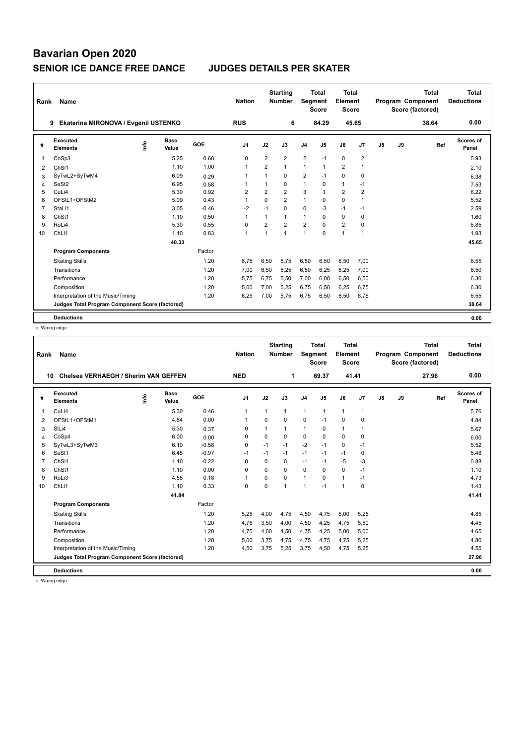| Rank           | <b>Name</b>                                     |                                        |         | <b>Nation</b>  |                | <b>Starting</b><br><b>Number</b> | Segment        | <b>Total</b><br><b>Score</b> | <b>Total</b><br>Element<br>Score |                |               |    | <b>Total</b><br>Program Component<br>Score (factored) | Total<br><b>Deductions</b> |
|----------------|-------------------------------------------------|----------------------------------------|---------|----------------|----------------|----------------------------------|----------------|------------------------------|----------------------------------|----------------|---------------|----|-------------------------------------------------------|----------------------------|
|                | Ekaterina MIRONOVA / Evgenii USTENKO<br>9       |                                        |         | <b>RUS</b>     |                | 6                                |                | 84.29                        | 45.65                            |                |               |    | 38.64                                                 | 0.00                       |
| #              | Executed<br><b>Elements</b>                     | <b>Base</b><br>$\frac{6}{10}$<br>Value | GOE     | J <sub>1</sub> | J2             | J3                               | J <sub>4</sub> | J <sub>5</sub>               | J6                               | J <sub>7</sub> | $\mathsf{J}8$ | J9 | Ref                                                   | <b>Scores of</b><br>Panel  |
| -1             | CoSp3                                           | 5.25                                   | 0.68    | 0              | $\overline{2}$ | $\overline{2}$                   | $\overline{2}$ | $-1$                         | $\mathbf 0$                      | $\overline{2}$ |               |    |                                                       | 5.93                       |
| 2              | ChS <sub>11</sub>                               | 1.10                                   | 1.00    | $\mathbf{1}$   | $\overline{2}$ | $\mathbf{1}$                     | $\mathbf{1}$   | $\mathbf{1}$                 | $\overline{2}$                   | $\overline{1}$ |               |    |                                                       | 2.10                       |
| 3              | SyTwL2+SyTwM4                                   | 6.09                                   | 0.29    | $\overline{1}$ | 1              | $\Omega$                         | $\overline{2}$ | $-1$                         | 0                                | 0              |               |    |                                                       | 6.38                       |
| 4              | SeSt <sub>2</sub>                               | 6.95                                   | 0.58    | -1             | 1              | 0                                | $\mathbf{1}$   | 0                            | $\mathbf{1}$                     | $-1$           |               |    |                                                       | 7.53                       |
| 5              | CuLi4                                           | 5.30                                   | 0.92    | $\overline{2}$ | $\overline{2}$ | $\overline{2}$                   | 3              | $\mathbf{1}$                 | $\overline{2}$                   | $\overline{2}$ |               |    |                                                       | 6.22                       |
| 6              | OFStL1+OFStM2                                   | 5.09                                   | 0.43    | $\overline{1}$ | $\Omega$       | $\overline{2}$                   | $\mathbf{1}$   | $\mathbf 0$                  | 0                                | $\overline{1}$ |               |    |                                                       | 5.52                       |
| $\overline{7}$ | StaLi1                                          | 3.05                                   | $-0.46$ | $-2$           | $-1$           | $\Omega$                         | 0              | $-3$                         | $-1$                             | $-1$           |               |    |                                                       | 2.59                       |
| 8              | ChSt1                                           | 1.10                                   | 0.50    | $\mathbf{1}$   | $\mathbf{1}$   | 1                                | $\mathbf{1}$   | 0                            | 0                                | $\mathbf 0$    |               |    |                                                       | 1.60                       |
| 9              | RoLi4                                           | 5.30                                   | 0.55    | $\mathbf 0$    | $\overline{2}$ | $\overline{2}$                   | $\overline{2}$ | $\Omega$                     | $\overline{2}$                   | $\mathbf 0$    |               |    |                                                       | 5.85                       |
| 10             | ChLi1                                           | 1.10                                   | 0.83    | $\mathbf{1}$   | $\mathbf{1}$   | 1                                | $\overline{1}$ | $\mathbf 0$                  | 1                                | $\overline{1}$ |               |    |                                                       | 1.93                       |
|                |                                                 | 40.33                                  |         |                |                |                                  |                |                              |                                  |                |               |    |                                                       | 45.65                      |
|                | <b>Program Components</b>                       |                                        | Factor  |                |                |                                  |                |                              |                                  |                |               |    |                                                       |                            |
|                | <b>Skating Skills</b>                           |                                        | 1.20    | 6.75           | 6,50           | 5.75                             | 6,50           | 6,50                         | 6,50                             | 7,00           |               |    |                                                       | 6.55                       |
|                | Transitions                                     |                                        | 1.20    | 7,00           | 6,50           | 5.25                             | 6,50           | 6,25                         | 6,25                             | 7,00           |               |    |                                                       | 6.50                       |
|                | Performance                                     |                                        | 1.20    | 5,75           | 6,75           | 5,50                             | 7,00           | 6,00                         | 6,50                             | 6,50           |               |    |                                                       | 6.30                       |
|                | Composition                                     |                                        | 1.20    | 5,00           | 7,00           | 5,25                             | 6,75           | 6,50                         | 6,25                             | 6,75           |               |    |                                                       | 6.30                       |
|                | Interpretation of the Music/Timing              |                                        | 1.20    | 6.25           | 7,00           | 5.75                             | 6,75           | 6,50                         | 6,50                             | 6,75           |               |    |                                                       | 6.55                       |
|                | Judges Total Program Component Score (factored) |                                        |         |                |                |                                  |                |                              |                                  |                |               |    |                                                       | 38.64                      |
|                | <b>Deductions</b>                               |                                        |         |                |                |                                  |                |                              |                                  |                |               |    |                                                       | 0.00                       |

e Wrong edge

| Rank | Name                                            |                              |         | <b>Nation</b>  |                | <b>Starting</b><br><b>Number</b> | Segment                  | <b>Total</b><br><b>Score</b> | <b>Total</b><br>Element<br><b>Score</b> |              |               |    | <b>Total</b><br>Program Component<br>Score (factored) | <b>Total</b><br><b>Deductions</b> |
|------|-------------------------------------------------|------------------------------|---------|----------------|----------------|----------------------------------|--------------------------|------------------------------|-----------------------------------------|--------------|---------------|----|-------------------------------------------------------|-----------------------------------|
|      | Chelsea VERHAEGH / Sherim VAN GEFFEN<br>10      |                              |         | <b>NED</b>     |                | 1                                |                          | 69.37                        | 41.41                                   |              |               |    | 27.96                                                 | 0.00                              |
| #    | Executed<br><b>Elements</b>                     | <b>Base</b><br>lnfo<br>Value | GOE     | J <sub>1</sub> | J2             | J3                               | J <sub>4</sub>           | J <sub>5</sub>               | J6                                      | J7           | $\mathsf{J}8$ | J9 | Ref                                                   | Scores of<br>Panel                |
| 1    | CuLi4                                           | 5.30                         | 0.46    | 1              | $\overline{1}$ | $\mathbf{1}$                     | $\mathbf{1}$             | 1                            | $\mathbf{1}$                            | $\mathbf{1}$ |               |    |                                                       | 5.76                              |
| 2    | OFStL1+OFStM1                                   | 4.84                         | 0.00    | 1              | $\Omega$       | $\Omega$                         | $\mathbf 0$              | $-1$                         | $\mathbf 0$                             | 0            |               |    |                                                       | 4.84                              |
| 3    | SILi4                                           | 5.30                         | 0.37    | $\mathbf 0$    |                | 1                                | $\mathbf{1}$             | $\Omega$                     | $\mathbf{1}$                            | 1            |               |    |                                                       | 5.67                              |
| 4    | CoSp4                                           | 6.00                         | 0.00    | $\mathbf 0$    | $\Omega$       | $\Omega$                         | $\mathbf 0$              | $\Omega$                     | $\mathbf 0$                             | 0            |               |    |                                                       | 6.00                              |
| 5    | SyTwL3+SyTwM3                                   | 6.10                         | $-0.58$ | $\Omega$       | $-1$           | $-1$                             | $-2$                     | $-1$                         | $\Omega$                                | $-1$         |               |    |                                                       | 5.52                              |
| 6    | SeSt1                                           | 6.45                         | $-0.97$ | $-1$           | $-1$           | $-1$                             | $-1$                     | $-1$                         | $-1$                                    | 0            |               |    |                                                       | 5.48                              |
| 7    | ChS <sub>11</sub>                               | 1.10                         | $-0.22$ | $\Omega$       | $\Omega$       | $\Omega$                         | $-1$                     | $-1$                         | $-5$                                    | -3           |               |    |                                                       | 0.88                              |
| 8    | ChSt1                                           | 1.10                         | 0.00    | $\mathbf 0$    | $\Omega$       | $\Omega$                         | $\mathbf 0$              | 0                            | $\mathbf 0$                             | $-1$         |               |    |                                                       | 1.10                              |
| 9    | RoLi3                                           | 4.55                         | 0.18    | 1              | $\Omega$       | $\Omega$                         | $\mathbf{1}$             | $\Omega$                     | $\mathbf{1}$                            | $-1$         |               |    |                                                       | 4.73                              |
| 10   | ChLi1                                           | 1.10                         | 0.33    | $\mathbf 0$    | $\Omega$       | $\mathbf{1}$                     | $\overline{\phantom{a}}$ | $-1$                         | 1                                       | $\mathbf 0$  |               |    |                                                       | 1.43                              |
|      |                                                 | 41.84                        |         |                |                |                                  |                          |                              |                                         |              |               |    |                                                       | 41.41                             |
|      | <b>Program Components</b>                       |                              | Factor  |                |                |                                  |                          |                              |                                         |              |               |    |                                                       |                                   |
|      | <b>Skating Skills</b>                           |                              | 1.20    | 5,25           | 4,00           | 4,75                             | 4,50                     | 4,75                         | 5,00                                    | 5,25         |               |    |                                                       | 4.85                              |
|      | Transitions                                     |                              | 1.20    | 4,75           | 3,50           | 4,00                             | 4,50                     | 4,25                         | 4,75                                    | 5,50         |               |    |                                                       | 4.45                              |
|      | Performance                                     |                              | 1.20    | 4,75           | 4,00           | 4,50                             | 4,75                     | 4,25                         | 5,00                                    | 5,00         |               |    |                                                       | 4.65                              |
|      | Composition                                     |                              | 1.20    | 5,00           | 3,75           | 4,75                             | 4,75                     | 4,75                         | 4,75                                    | 5,25         |               |    |                                                       | 4.80                              |
|      | Interpretation of the Music/Timing              |                              | 1.20    | 4,50           | 3,75           | 5,25                             | 3,75                     | 4,50                         | 4,75                                    | 5,25         |               |    |                                                       | 4.55                              |
|      | Judges Total Program Component Score (factored) |                              |         |                |                |                                  |                          |                              |                                         |              |               |    |                                                       | 27.96                             |
|      | <b>Deductions</b>                               |                              |         |                |                |                                  |                          |                              |                                         |              |               |    |                                                       | 0.00                              |
|      |                                                 |                              |         |                |                |                                  |                          |                              |                                         |              |               |    |                                                       |                                   |

e Wrong edge